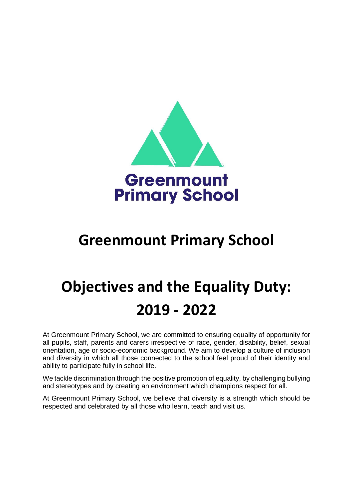

## **Greenmount Primary School**

# **Objectives and the Equality Duty: 2019 - 2022**

At Greenmount Primary School, we are committed to ensuring equality of opportunity for all pupils, staff, parents and carers irrespective of race, gender, disability, belief, sexual orientation, age or socio-economic background. We aim to develop a culture of inclusion and diversity in which all those connected to the school feel proud of their identity and ability to participate fully in school life.

We tackle discrimination through the positive promotion of equality, by challenging bullying and stereotypes and by creating an environment which champions respect for all.

At Greenmount Primary School, we believe that diversity is a strength which should be respected and celebrated by all those who learn, teach and visit us.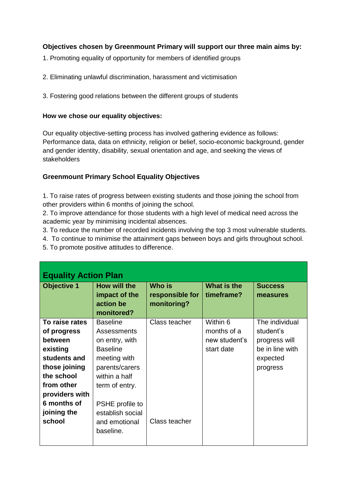### **Objectives chosen by Greenmount Primary will support our three main aims by:**

- 1. Promoting equality of opportunity for members of identified groups
- 2. Eliminating unlawful discrimination, harassment and victimisation
- 3. Fostering good relations between the different groups of students

#### **How we chose our equality objectives:**

Our equality objective-setting process has involved gathering evidence as follows: Performance data, data on ethnicity, religion or belief, socio-economic background, gender and gender identity, disability, sexual orientation and age, and seeking the views of stakeholders

#### **Greenmount Primary School Equality Objectives**

1. To raise rates of progress between existing students and those joining the school from other providers within 6 months of joining the school.

2. To improve attendance for those students with a high level of medical need across the academic year by minimising incidental absences.

- 3. To reduce the number of recorded incidents involving the top 3 most vulnerable students.
- 4. To continue to minimise the attainment gaps between boys and girls throughout school.
- 5. To promote positive attitudes to difference.

| <b>Equality Action Plan</b>                 |                                                                   |                                                 |                             |                                  |  |
|---------------------------------------------|-------------------------------------------------------------------|-------------------------------------------------|-----------------------------|----------------------------------|--|
| <b>Objective 1</b>                          | How will the<br>impact of the<br>action be<br>monitored?          | <b>Who is</b><br>responsible for<br>monitoring? | What is the<br>timeframe?   | <b>Success</b><br>measures       |  |
| To raise rates                              | <b>Baseline</b><br>Assessments                                    | Class teacher                                   | Within 6<br>months of a     | The individual<br>student's      |  |
| of progress<br><b>between</b><br>existing   | on entry, with<br><b>Baseline</b>                                 |                                                 | new student's<br>start date | progress will<br>be in line with |  |
| students and<br>those joining<br>the school | meeting with<br>parents/carers<br>within a half                   |                                                 |                             | expected<br>progress             |  |
| from other<br>providers with                | term of entry.                                                    |                                                 |                             |                                  |  |
| 6 months of<br>joining the<br>school        | PSHE profile to<br>establish social<br>and emotional<br>baseline. | Class teacher                                   |                             |                                  |  |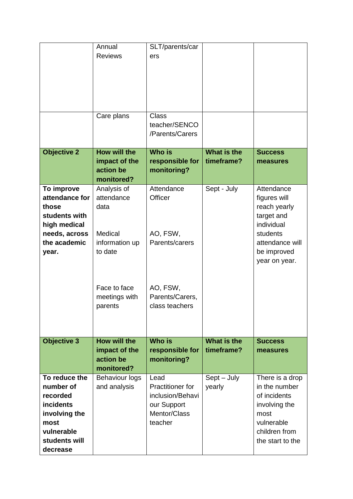|                                                                                                                                | Annual<br><b>Reviews</b>                                        | SLT/parents/car<br>ers                                                                        |                           |                                                                                                                              |
|--------------------------------------------------------------------------------------------------------------------------------|-----------------------------------------------------------------|-----------------------------------------------------------------------------------------------|---------------------------|------------------------------------------------------------------------------------------------------------------------------|
|                                                                                                                                | Care plans                                                      | <b>Class</b><br>teacher/SENCO<br>/Parents/Carers                                              |                           |                                                                                                                              |
| <b>Objective 2</b>                                                                                                             | <b>How will the</b><br>impact of the<br>action be<br>monitored? | <b>Who is</b><br>responsible for<br>monitoring?                                               | What is the<br>timeframe? | <b>Success</b><br>measures                                                                                                   |
| To improve<br>attendance for<br>those<br>students with<br>high medical                                                         | Analysis of<br>attendance<br>data                               | Attendance<br>Officer                                                                         | Sept - July               | Attendance<br>figures will<br>reach yearly<br>target and<br>individual                                                       |
| needs, across<br>the academic<br>year.                                                                                         | Medical<br>information up<br>to date                            | AO, FSW,<br>Parents/carers                                                                    |                           | students<br>attendance will<br>be improved<br>year on year.                                                                  |
|                                                                                                                                | Face to face<br>meetings with<br>parents                        | AO, FSW,<br>Parents/Carers,<br>class teachers                                                 |                           |                                                                                                                              |
| <b>Objective 3</b>                                                                                                             | <b>How will the</b><br>impact of the<br>action be<br>monitored? | <b>Who is</b><br>responsible for<br>monitoring?                                               | What is the<br>timeframe? | <b>Success</b><br>measures                                                                                                   |
| To reduce the<br>number of<br>recorded<br><b>incidents</b><br>involving the<br>most<br>vulnerable<br>students will<br>decrease | <b>Behaviour logs</b><br>and analysis                           | Lead<br><b>Practitioner for</b><br>inclusion/Behavi<br>our Support<br>Mentor/Class<br>teacher | Sept - July<br>yearly     | There is a drop<br>in the number<br>of incidents<br>involving the<br>most<br>vulnerable<br>children from<br>the start to the |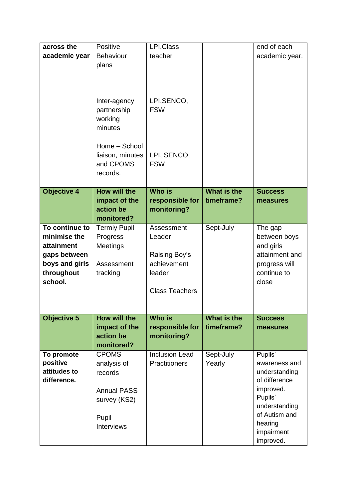| across the<br>academic year                                                                             | Positive<br><b>Behaviour</b><br>plans<br>Inter-agency<br>partnership<br>working<br>minutes<br>Home - School<br>liaison, minutes<br>and CPOMS<br>records. | LPI, Class<br>teacher<br>LPI, SENCO,<br><b>FSW</b><br>LPI, SENCO,<br><b>FSW</b>         |                           | end of each<br>academic year.                                                                                                                              |
|---------------------------------------------------------------------------------------------------------|----------------------------------------------------------------------------------------------------------------------------------------------------------|-----------------------------------------------------------------------------------------|---------------------------|------------------------------------------------------------------------------------------------------------------------------------------------------------|
| <b>Objective 4</b>                                                                                      | How will the<br>impact of the<br>action be<br>monitored?                                                                                                 | <b>Who is</b><br>responsible for<br>monitoring?                                         | What is the<br>timeframe? | <b>Success</b><br>measures                                                                                                                                 |
| To continue to<br>minimise the<br>attainment<br>gaps between<br>boys and girls<br>throughout<br>school. | <b>Termly Pupil</b><br>Progress<br>Meetings<br>Assessment<br>tracking                                                                                    | Assessment<br>Leader<br>Raising Boy's<br>achievement<br>leader<br><b>Class Teachers</b> | Sept-July                 | The gap<br>between boys<br>and girls<br>attainment and<br>progress will<br>continue to<br>close                                                            |
| <b>Objective 5</b>                                                                                      | <b>How will the</b><br>impact of the<br>action be<br>monitored?                                                                                          | <b>Who is</b><br>responsible for<br>monitoring?                                         | What is the<br>timeframe? | <b>Success</b><br>measures                                                                                                                                 |
| To promote<br>positive<br>attitudes to<br>difference.                                                   | <b>CPOMS</b><br>analysis of<br>records<br><b>Annual PASS</b><br>survey (KS2)<br>Pupil<br>Interviews                                                      | <b>Inclusion Lead</b><br>Practitioners                                                  | Sept-July<br>Yearly       | Pupils'<br>awareness and<br>understanding<br>of difference<br>improved.<br>Pupils'<br>understanding<br>of Autism and<br>hearing<br>impairment<br>improved. |